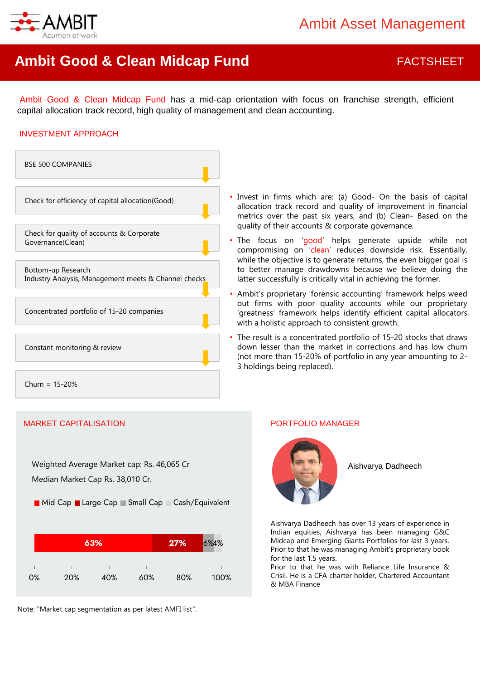

# **Ambit Good & Clean Midcap Fund FACTSHEET**

Ambit Good & Clean Midcap Fund has a mid-cap orientation with focus on franchise strength, efficient capital allocation track record, high quality of management and clean accounting.

#### INVESTMENT APPROACH



MARKET CAPITALISATION PORTFOLIO MANAGER

Weighted Average Market cap: Rs. 46,065 Cr Median Market Cap Rs. 38,010 Cr.

**Mid Cap Large Cap Small Cap Cash/Equivalent** 



Note: "Market cap segmentation as per latest AMFI list".

- Invest in firms which are: (a) Good- On the basis of capital allocation track record and quality of improvement in financial metrics over the past six years, and (b) Clean- Based on the quality of their accounts & corporate governance.
- The focus on 'good' helps generate upside while not compromising on 'clean' reduces downside risk. Essentially, while the objective is to generate returns, the even bigger goal is to better manage drawdowns because we believe doing the latter successfully is critically vital in achieving the former.
- Ambit's proprietary 'forensic accounting' framework helps weed out firms with poor quality accounts while our proprietary 'greatness' framework helps identify efficient capital allocators with a holistic approach to consistent growth.
- The result is a concentrated portfolio of 15-20 stocks that draws down lesser than the market in corrections and has low churn (not more than 15-20% of portfolio in any year amounting to 2- 3 holdings being replaced).



Aishvarya Dadheech

Aishvarya Dadheech has over 13 years of experience in Indian equities, Aishvarya has been managing G&C Midcap and Emerging Giants Portfolios for last 3 years. Prior to that he was managing Ambit's proprietary book for the last 1.5 years.

Prior to that he was with Reliance Life Insurance & Crisil. He is a CFA charter holder, Chartered Accountant & MBA Finance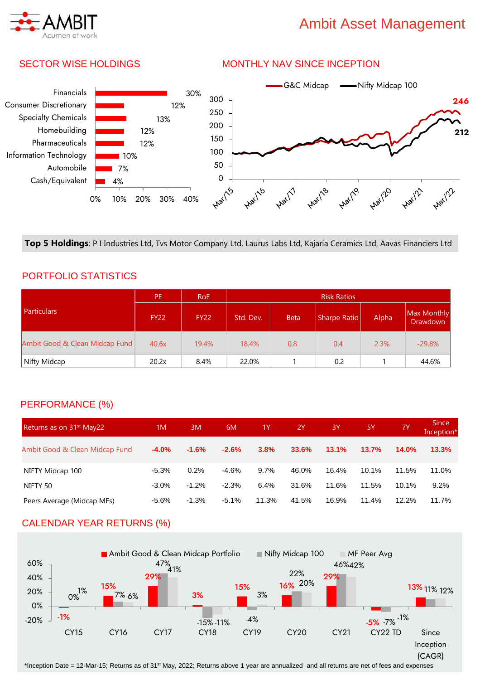# Ambit Asset Management



### SECTOR WISE HOLDINGS

#### MONTHLY NAV SINCE INCEPTION



**Top 5 Holdings**: P I Industries Ltd, Tvs Motor Company Ltd, Laurus Labs Ltd, Kajaria Ceramics Ltd, Aavas Financiers Ltd

### PORTFOLIO STATISTICS

|                                | PE.         | RoE         | <b>Risk Ratios</b> |             |              |       |                                |
|--------------------------------|-------------|-------------|--------------------|-------------|--------------|-------|--------------------------------|
| <b>Particulars</b>             | <b>FY22</b> | <b>FY22</b> | Std. Dev.          | <b>Beta</b> | Sharpe Ratio | Alpha | Max Monthly<br><b>Drawdown</b> |
| Ambit Good & Clean Midcap Fund | 40.6x       | 19.4%       | 18.4%              | 0.8         | 0.4          | 2.3%  | $-29.8%$                       |
| Nifty Midcap                   | 20.2x       | 8.4%        | 22.0%              |             | 0.2          |       | -44.6%                         |

#### PERFORMANCE (%)

| Returns as on 31 <sup>st</sup> May22 | 1M       | 3M       | 6M      | 1Y      | <b>2Y</b> | <b>3Y</b> | -5Y      | 7Y       | Since<br>Inception* |
|--------------------------------------|----------|----------|---------|---------|-----------|-----------|----------|----------|---------------------|
| Ambit Good & Clean Midcap Fund       | $-4.0\%$ | $-1.6\%$ | $-2.6%$ | 3.8%    | 33.6%     | 13.1%     | 13.7%    | 14.0%    | 13.3%               |
| NIFTY Midcap 100                     | $-5.3%$  | 0.2%     | $-4.6%$ | $9.7\%$ | 46.0%     | 16.4%     | $10.1\%$ | 11.5%    | 11.0%               |
| NIFTY 50                             | $-3.0\%$ | $-1.2%$  | $-2.3%$ | 6.4%    | 31.6%     | 11.6%     | 11.5%    | $10.1\%$ | 9.2%                |
| Peers Average (Midcap MFs)           | $-5.6\%$ | $-1.3%$  | $-5.1%$ | 11.3%   | 41.5%     | 16.9%     | 11.4%    | 12.2%    | 11.7%               |

### CALENDAR YEAR RETURNS (%)



\*Inception Date = 12-Mar-15; Returns as of 31st May, 2022; Returns above 1 year are annualized and all returns are net of fees and expenses